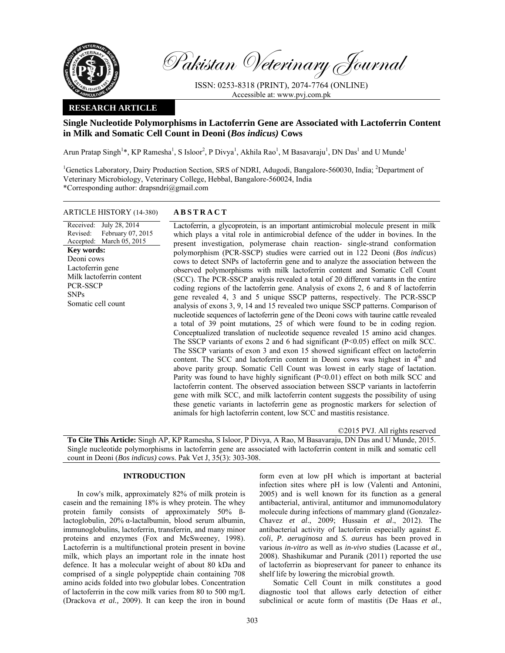

Pakistan Veterinary Journal

ISSN: 0253-8318 (PRINT), 2074-7764 (ONLINE) Accessible at: www.pvj.com.pk

## **RESEARCH ARTICLE**

# **Single Nucleotide Polymorphisms in Lactoferrin Gene are Associated with Lactoferrin Content in Milk and Somatic Cell Count in Deoni (***Bos indicus)* **Cows**

Arun Pratap Singh<sup>1\*</sup>, KP Ramesha<sup>1</sup>, S Isloor<sup>2</sup>, P Divya<sup>1</sup>, Akhila Rao<sup>1</sup>, M Basavaraju<sup>1</sup>, DN Das<sup>1</sup> and U Munde<sup>1</sup>

<sup>1</sup>Genetics Laboratory, Dairy Production Section, SRS of NDRI, Adugodi, Bangalore-560030, India; <sup>2</sup>Department of Veterinary Microbiology, Veterinary College, Hebbal, Bangalore-560024, India \*Corresponding author: drapsndri@gmail.com

### ARTICLE HISTORY (14-380) **ABSTRACT**

#### Received: Revised: Accepted: March 05, 2015 July 28, 2014 February 07, 2015 **Key words:**  Deoni cows Lactoferrin gene Milk lactoferrin content PCR-SSCP SNPs Somatic cell count

 Lactoferrin, a glycoprotein, is an important antimicrobial molecule present in milk which plays a vital role in antimicrobial defence of the udder in bovines. In the present investigation, polymerase chain reaction- single-strand conformation polymorphism (PCR-SSCP) studies were carried out in 122 Deoni (*Bos indicus*) cows to detect SNPs of lactoferrin gene and to analyze the association between the observed polymorphisms with milk lactoferrin content and Somatic Cell Count (SCC). The PCR-SSCP analysis revealed a total of 20 different variants in the entire coding regions of the lactoferrin gene. Analysis of exons 2, 6 and 8 of lactoferrin gene revealed 4, 3 and 5 unique SSCP patterns, respectively. The PCR-SSCP analysis of exons 3, 9, 14 and 15 revealed two unique SSCP patterns. Comparison of nucleotide sequences of lactoferrin gene of the Deoni cows with taurine cattle revealed a total of 39 point mutations, 25 of which were found to be in coding region. Conceptualized translation of nucleotide sequence revealed 15 amino acid changes. The SSCP variants of exons 2 and 6 had significant  $(P<0.05)$  effect on milk SCC. The SSCP variants of exon 3 and exon 15 showed significant effect on lactoferrin content. The SCC and lactoferrin content in Deoni cows was highest in 4<sup>th</sup> and above parity group. Somatic Cell Count was lowest in early stage of lactation. Parity was found to have highly significant (P<0.01) effect on both milk SCC and lactoferrin content. The observed association between SSCP variants in lactoferrin gene with milk SCC, and milk lactoferrin content suggests the possibility of using these genetic variants in lactoferrin gene as prognostic markers for selection of animals for high lactoferrin content, low SCC and mastitis resistance.

©2015 PVJ. All rights reserved

**To Cite This Article:** Singh AP, KP Ramesha, S Isloor, P Divya, A Rao, M Basavaraju, DN Das and U Munde, 2015. Single nucleotide polymorphisms in lactoferrin gene are associated with lactoferrin content in milk and somatic cell count in Deoni (*Bos indicus)* cows. Pak Vet J, 35(3): 303-308.

### **INTRODUCTION**

In cow's milk, approximately 82% of milk protein is casein and the remaining 18% is whey protein. The whey protein family consists of approximately 50% ßlactoglobulin, 20% α-lactalbumin, blood serum albumin, immunoglobulins, lactoferrin, transferrin, and many minor proteins and enzymes (Fox and McSweeney, 1998). Lactoferrin is a multifunctional protein present in bovine milk, which plays an important role in the innate host defence. It has a molecular weight of about 80 kDa and comprised of a single polypeptide chain containing 708 amino acids folded into two globular lobes. Concentration of lactoferrin in the cow milk varies from 80 to 500 mg/L (Drackova *et al.,* 2009). It can keep the iron in bound

form even at low pH which is important at bacterial infection sites where pH is low (Valenti and Antonini, 2005) and is well known for its function as a general antibacterial, antiviral, antitumor and immunomodulatory molecule during infections of mammary gland (Gonzalez-Chavez *et al*., 2009; Hussain *et al*., 2012). The antibacterial activity of lactoferrin especially against *E. coli*, *P. aeruginosa* and *S. aureus* has been proved in various *in-vitro* as well as *in-vivo* studies (Lacasse *et al.,* 2008). Shashikumar and Puranik (2011) reported the use of lactoferrin as biopreservant for paneer to enhance its shelf life by lowering the microbial growth.

Somatic Cell Count in milk constitutes a good diagnostic tool that allows early detection of either subclinical or acute form of mastitis (De Haas *et al.*,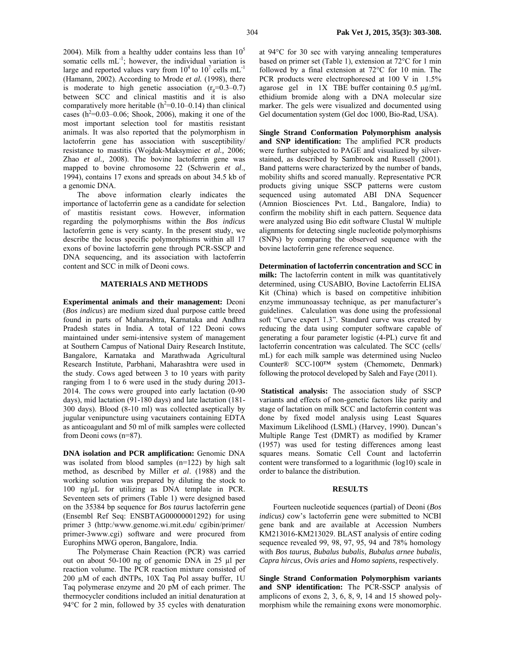2004). Milk from a healthy udder contains less than  $10<sup>5</sup>$ somatic cells mL<sup>-1</sup>; however, the individual variation is large and reported values vary from  $10^4$  to  $10^7$  cells mL<sup>-1</sup> (Hamann, 2002). According to Mrode *et al.* (1998), there is moderate to high genetic association  $(r<sub>g</sub>=0.3-0.7)$ between SCC and clinical mastitis and it is also comparatively more heritable  $(h^2=0.10-0.14)$  than clinical cases  $(h^2=0.03-0.06;$  Shook, 2006), making it one of the most important selection tool for mastitis resistant animals. It was also reported that the polymorphism in lactoferrin gene has association with susceptibility/ resistance to mastitis (Wojdak-Maksymiec *et al.,* 2006; Zhao *et al.,* 2008). The bovine lactoferrin gene was mapped to bovine chromosome 22 (Schwerin *et al*., 1994), contains 17 exons and spreads on about 34.5 kb of a genomic DNA.

The above information clearly indicates the importance of lactoferrin gene as a candidate for selection of mastitis resistant cows. However, information regarding the polymorphisms within the *Bos indicus* lactoferrin gene is very scanty. In the present study, we describe the locus specific polymorphisms within all 17 exons of bovine lactoferrin gene through PCR-SSCP and DNA sequencing, and its association with lactoferrin content and SCC in milk of Deoni cows.

#### **MATERIALS AND METHODS**

**Experimental animals and their management:** Deoni (*Bos indicus*) are medium sized dual purpose cattle breed found in parts of Maharashtra, Karnataka and Andhra Pradesh states in India. A total of 122 Deoni cows maintained under semi-intensive system of management at Southern Campus of National Dairy Research Institute, Bangalore, Karnataka and Marathwada Agricultural Research Institute, Parbhani, Maharashtra were used in the study. Cows aged between 3 to 10 years with parity ranging from 1 to 6 were used in the study during 2013- 2014. The cows were grouped into early lactation (0-90 days), mid lactation (91-180 days) and late lactation (181- 300 days). Blood (8-10 ml) was collected aseptically by jugular venipuncture using vacutainers containing EDTA as anticoagulant and 50 ml of milk samples were collected from Deoni cows (n=87).

**DNA isolation and PCR amplification:** Genomic DNA was isolated from blood samples (n=122) by high salt method, as described by Miller *et al*. (1988) and the working solution was prepared by diluting the stock to 100 ng/µL for utilizing as DNA template in PCR. Seventeen sets of primers (Table 1) were designed based on the 35384 bp sequence for *Bos taurus* lactoferrin gene (Ensembl Ref Seq: ENSBTAG00000001292) for using primer 3 (http:/www.genome.wi.mit.edu/ cgibin/primer/ primer-3www.cgi) software and were procured from Europhins MWG operon, Bangalore, India.

The Polymerase Chain Reaction (PCR) was carried out on about 50-100 ng of genomic DNA in 25 µl per reaction volume. The PCR reaction mixture consisted of 200 µM of each dNTPs, 10X Taq Pol assay buffer, 1U Taq polymerase enzyme and 20 pM of each primer. The thermocycler conditions included an initial denaturation at 94°C for 2 min, followed by 35 cycles with denaturation

at 94°C for 30 sec with varying annealing temperatures based on primer set (Table 1), extension at 72°C for 1 min followed by a final extension at 72°C for 10 min. The PCR products were electrophoresed at 100 V in 1.5% agarose gel in 1X TBE buffer containing 0.5 µg/mL ethidium bromide along with a DNA molecular size marker. The gels were visualized and documented using Gel documentation system (Gel doc 1000, Bio-Rad, USA).

**Single Strand Conformation Polymorphism analysis and SNP identification:** The amplified PCR products were further subjected to PAGE and visualized by silverstained, as described by Sambrook and Russell (2001). Band patterns were characterized by the number of bands, mobility shifts and scored manually. Representative PCR products giving unique SSCP patterns were custom sequenced using automated ABI DNA Sequencer (Amnion Biosciences Pvt. Ltd., Bangalore, India) to confirm the mobility shift in each pattern. Sequence data were analyzed using Bio edit software Clustal W multiple alignments for detecting single nucleotide polymorphisms (SNPs) by comparing the observed sequence with the bovine lactoferrin gene reference sequence.

**Determination of lactoferrin concentration and SCC in milk:** The lactoferrin content in milk was quantitatively determined, using CUSABIO, Bovine Lactoferrin ELISA Kit (China) which is based on competitive inhibition enzyme immunoassay technique, as per manufacturer's guidelines. Calculation was done using the professional soft "Curve expert 1.3". Standard curve was created by reducing the data using computer software capable of generating a four parameter logistic (4-PL) curve fit and lactoferrin concentration was calculated. The SCC (cells/ mL) for each milk sample was determined using Nucleo Counter® SCC-100™ system (Chemometc, Denmark) following the protocol developed by Saleh and Faye (2011).

 **Statistical analysis:** The association study of SSCP variants and effects of non-genetic factors like parity and stage of lactation on milk SCC and lactoferrin content was done by fixed model analysis using Least Squares Maximum Likelihood (LSML) (Harvey, 1990). Duncan's Multiple Range Test (DMRT) as modified by Kramer (1957) was used for testing differences among least squares means. Somatic Cell Count and lactoferrin content were transformed to a logarithmic (log10) scale in order to balance the distribution.

#### **RESULTS**

Fourteen nucleotide sequences (partial) of Deoni (*Bos indicus)* cow's lactoferrin gene were submitted to NCBI gene bank and are available at Accession Numbers KM213016-KM213029. BLAST analysis of entire coding sequence revealed 99, 98, 97, 95, 94 and 78% homology with *Bos taurus*, *Bubalus bubalis*, *Bubalus arnee bubalis*, *Capra hircus*, *Ovis aries* and *Homo sapiens,* respectively.

**Single Strand Conformation Polymorphism variants and SNP identification:** The PCR-SSCP analysis of amplicons of exons 2, 3, 6, 8, 9, 14 and 15 showed polymorphism while the remaining exons were monomorphic.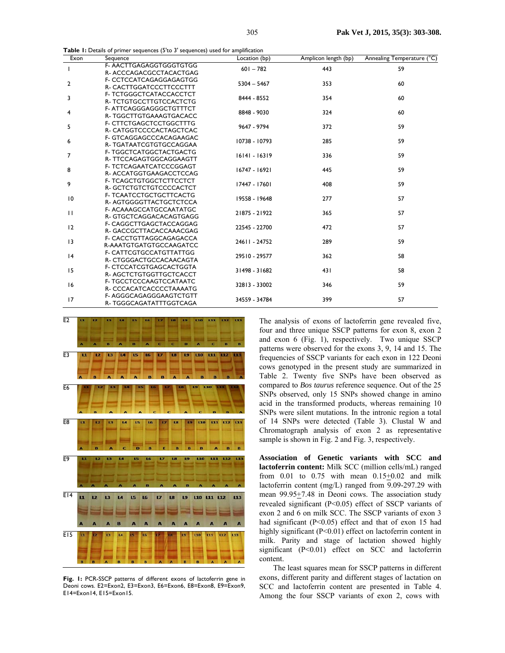**Table 1:** Details of primer sequences (5'to 3' sequences) used for amplification

| Exon            | <b>Exercise</b> of primer sequences (5 to 5 sequences) ascarde amplification<br>Sequence | Location (bp) | Amplicon length (bp) | Annealing Temperature (°C) |  |  |
|-----------------|------------------------------------------------------------------------------------------|---------------|----------------------|----------------------------|--|--|
| T               | F-AACTTGAGAGGTGGGTGTGG                                                                   | $601 - 782$   | 443                  | 59                         |  |  |
|                 | R- ACCCAGACGCCTACACTGAG                                                                  |               |                      |                            |  |  |
| $\overline{2}$  | F- CCTCCATCAGAGGAGAGTGG                                                                  | $5304 - 5467$ | 353                  | 60                         |  |  |
|                 | R- CACTTGGATCCCTTCCCTTT                                                                  |               |                      |                            |  |  |
| 3               | F- TCTGGGCTCATACCACCTCT                                                                  | 8444 - 8552   | 354                  | 60                         |  |  |
|                 | R- TCTGTGCCTTGTCCACTCTG                                                                  |               |                      |                            |  |  |
| 4               | F-ATTCAGGGAGGGCTGTTTCT                                                                   | 8848 - 9030   | 324                  | 60                         |  |  |
|                 | R-TGGCTTGTGAAAGTGACACC                                                                   |               |                      |                            |  |  |
| 5               | F- CTTCTGAGCTCCTGGCTTTG                                                                  | 9647 - 9794   | 372                  | 59                         |  |  |
|                 | R- CATGGTCCCCACTAGCTCAC                                                                  |               |                      |                            |  |  |
| 6               | F- GTCAGGAGCCCACAGAAGAC                                                                  | 10738 - 10793 | 285                  | 59                         |  |  |
|                 | R- TGATAATCGTGTGCCAGGAA                                                                  |               |                      |                            |  |  |
| 7               | F- TGGCTCATGGCTACTGACTG                                                                  | 16141 - 16319 | 336                  | 59                         |  |  |
|                 | R-TTCCAGAGTGGCAGGAAGTT                                                                   |               |                      |                            |  |  |
| 8               | F- TCTCAGAATCATCCCGGAGT                                                                  | 16747 - 16921 | 445                  | 59                         |  |  |
|                 | R- ACCATGGTGAAGACCTCCAG                                                                  |               |                      |                            |  |  |
| 9               | F- TCAGCTGTGGCTCTTCCTCT                                                                  | 17447 - 17601 | 408                  | 59                         |  |  |
|                 | R-GCTCTGTCTGTCCCCACTCT                                                                   |               |                      |                            |  |  |
| $\overline{10}$ | F- TCAATCCTGCTGCTTCACTG                                                                  | 19558 - 19648 | 277                  | 57                         |  |  |
|                 | R-AGTGGGGTTACTGCTCTCCA                                                                   |               |                      |                            |  |  |
| $\mathbf{H}$    | F- ACAAAGCCATGCCAATATGC                                                                  | 21875 - 21922 | 365                  | 57                         |  |  |
|                 | R-GTGCTCAGGACACAGTGAGG                                                                   |               |                      |                            |  |  |
| 12              | F- CAGGCTTGAGCTACCAGGAG                                                                  | 22545 - 22700 | 472                  | 57                         |  |  |
|                 | R- GACCGCTTACACCAAACGAG                                                                  |               |                      |                            |  |  |
| 13              | F- CACCTGTTAGGCAGAGACCA                                                                  | 24611 - 24752 | 289                  | 59                         |  |  |
|                 | R-AAATGTGATGTGCCAAGATCC                                                                  |               |                      |                            |  |  |
| 4               | F- CATTCGTGCCATGTTATTGG                                                                  | 29510 - 29577 | 362                  | 58                         |  |  |
|                 | R-CTGGGACTGCCACAACAGTA                                                                   |               |                      |                            |  |  |
| 15              | F- CTCCATCGTGAGCACTGGTA                                                                  | 31498 - 31682 | 431                  | 58                         |  |  |
|                 | R-AGCTCTGTGGTTGCTCACCT                                                                   |               |                      |                            |  |  |
| 16              | F- TGCCTCCCAAGTCCATAATC                                                                  | 32813 - 33002 | 346                  | 59                         |  |  |
|                 | R- CCCACATCACCCCTAAAATG                                                                  |               |                      |                            |  |  |
| 17              | F-AGGGCAGAGGGAAGTCTGTT                                                                   | 34559 - 34784 | 399                  | 57                         |  |  |
|                 | R-TGGGCAGATATTTGGTCAGA                                                                   |               |                      |                            |  |  |



Fig. 1: PCR-SSCP patterns of different exons of lactoferrin gene in Deoni cows. E2=Exon2, E3=Exon3, E6=Exon6, E8=Exon8, E9=Exon9, E14=Exon14, E15=Exon15.

The analysis of exons of lactoferrin gene revealed five, four and three unique SSCP patterns for exon 8, exon 2 and exon 6 (Fig. 1), respectively. Two unique SSCP patterns were observed for the exons 3, 9, 14 and 15. The frequencies of SSCP variants for each exon in 122 Deoni cows genotyped in the present study are summarized in Table 2. Twenty five SNPs have been observed as compared to *Bos taurus* reference sequence. Out of the 25 SNPs observed, only 15 SNPs showed change in amino acid in the transformed products, whereas remaining 10 SNPs were silent mutations. In the intronic region a total of 14 SNPs were detected (Table 3). Clustal W and Chromatograph analysis of exon 2 as representative sample is shown in Fig. 2 and Fig. 3, respectively.

**Association of Genetic variants with SCC and lactoferrin content:** Milk SCC (million cells/mL) ranged from  $0.01$  to  $0.75$  with mean  $0.15\pm0.02$  and milk lactoferrin content (mg/L) ranged from 9.09-297.29 with mean 99.95<sup>+</sup>7.48 in Deoni cows. The association study revealed significant (P<0.05) effect of SSCP variants of exon 2 and 6 on milk SCC. The SSCP variants of exon 3 had significant (P<0.05) effect and that of exon 15 had highly significant (P<0.01) effect on lactoferrin content in milk. Parity and stage of lactation showed highly significant (P<0.01) effect on SCC and lactoferrin content.

The least squares mean for SSCP patterns in different exons, different parity and different stages of lactation on SCC and lactoferrin content are presented in Table 4. Among the four SSCP variants of exon 2, cows with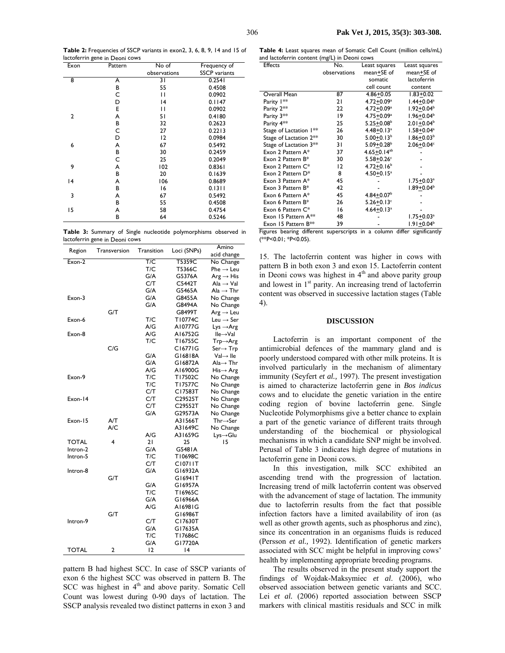**Table 2:** Frequencies of SSCP variants in exon2, 3, 6, 8, 9, 14 and 15 of lactoferrin gene in Deoni cows

| Exon           | Pattern | No of          | Frequency of         |
|----------------|---------|----------------|----------------------|
|                |         | observations   | <b>SSCP</b> variants |
| 8              | A       | 31             | 0.2541               |
|                | В       | 55             | 0.4508               |
|                | С       | П              | 0.0902               |
|                | D       | 14             | 0.1147               |
|                | E       | П              | 0.0902               |
| $\overline{2}$ | А       | 51             | 0.4180               |
|                | В       | 32             | 0.2623               |
|                | С       | 27             | 0.2213               |
|                | D       | $\overline{2}$ | 0.0984               |
| 6              | А       | 67             | 0.5492               |
|                | В       | 30             | 0.2459               |
|                | C       | 25             | 0.2049               |
| 9              | А       | 102            | 0.8361               |
|                | В       | 20             | 0.1639               |
| 14             | А       | 106            | 0.8689               |
|                | В       | 16             | 0.1311               |
| 3              | A       | 67             | 0.5492               |
|                | В       | 55             | 0.4508               |
| 15             | А       | 58             | 0.4754               |
|                | В       | 64             | 0.5246               |

|  |                                |  | Table 3: Summary of Single nucleotide polymorphisms observed in |  |
|--|--------------------------------|--|-----------------------------------------------------------------|--|
|  | lactoferrin gene in Deoni cows |  |                                                                 |  |

| Region       | Transversion | Transition | Loci (SNPs) | Amino                                 |
|--------------|--------------|------------|-------------|---------------------------------------|
|              |              |            |             | acid change                           |
| Exon-2       |              | T/C        | T5359C      | No Change                             |
|              |              | T/C        | T5366C      | $Phe \rightarrow Leu$                 |
|              |              | G/A        | G5376A      | $Arg \rightarrow His$                 |
|              |              | C/T        | C5442T      | $\text{Ala} \rightarrow \text{Val}$   |
|              |              | G/A        | G5465A      | Ala $\rightarrow$ Thr                 |
| Exon-3       |              | G/A        | G8455A      | No Change                             |
|              |              | G/A        | G8494A      | No Change                             |
|              | G/T          |            | G8499T      | $Arg \rightarrow Leu$                 |
| Exon-6       |              | T/C        | T10774C     | Leu $\rightarrow$ Ser                 |
|              |              | A/G        | A10777G     | $Lys \rightarrow Arg$                 |
| Exon-8       |              | A/G        | A16752G     | lle→Val                               |
|              |              | T/C        | T16755C     | $Trp \rightarrow Arg$                 |
|              | C/G          |            | C16771G     | $Ser \rightarrow Trp$                 |
|              |              | G/A        | G16818A     | $Val \rightarrow$ lle                 |
|              |              | G/A        | G16872A     | $\mathsf{Ala}\rightarrow\mathsf{Thr}$ |
|              |              | A/G        | A16900G     | $His \rightarrow Arg$                 |
| Exon-9       |              | T/C        | T17502C     | No Change                             |
|              |              | T/C        | T17577C     | No Change                             |
|              |              | C/T        | C17583T     | No Change                             |
| Exon-14      |              | C/T        | C29525T     | No Change                             |
|              |              | C/T        | C29552T     | No Change                             |
|              |              | G/A        | G29573A     | No Change                             |
| Exon-15      | A/T          |            | A31566T     | $Thr \rightarrow Ser$                 |
|              | A/C          |            | A31649C     | No Change                             |
|              |              | A/G        | A31659G     | $Lys \rightarrow Glu$                 |
| <b>TOTAL</b> | 4            | 21         | 25          | 15                                    |
| Intron-2     |              | G/A        | G5481A      |                                       |
| Intron-5     |              | T/C        | T10698C     |                                       |
|              |              | C/T        | C10711T     |                                       |
| Intron-8     |              | G/A        | G16932A     |                                       |
|              | G/T          |            | G16941T     |                                       |
|              |              | G/A        | G16957A     |                                       |
|              |              | T/C        | T16965C     |                                       |
|              |              | G/A        | G16966A     |                                       |
|              |              | A/G        | A16981G     |                                       |
|              | G/T          |            | G16986T     |                                       |
| Intron-9     |              | C/T        | C17630T     |                                       |
|              |              | G/A        | G17635A     |                                       |
|              |              | T/C        | T17686C     |                                       |
|              |              | G/A        | G17720A     |                                       |
| TOTAL        | 2            | 12         | 14          |                                       |

pattern B had highest SCC. In case of SSCP variants of exon 6 the highest SCC was observed in pattern B. The SCC was highest in  $4<sup>th</sup>$  and above parity. Somatic Cell Count was lowest during 0-90 days of lactation. The SSCP analysis revealed two distinct patterns in exon 3 and

**Table 4:** Least squares mean of Somatic Cell Count (million cells/mL) and lactoferrin content (mg/L) in Deoni cows

| <b>Effects</b>                     | No.          | Least squares              | Least squares                                      |
|------------------------------------|--------------|----------------------------|----------------------------------------------------|
|                                    | observations | mean+SE of                 | mean+SE of                                         |
|                                    |              | somatic                    | lactoferrin                                        |
|                                    |              | cell count                 | content                                            |
| Overall Mean                       | 87           | $4.86 + 0.05$              | $1.83 + 0.02$                                      |
| Parity 1**                         | 21           | $4.72 + 0.09a$             | $1.44 + 0.04$ <sup>a</sup>                         |
| Parity 2**                         | 22           | $4.72 + 0.09^a$            | $1.92 + 0.04^b$                                    |
| Parity 3**                         | 19           | $4.75 + 0.09^a$            | $1.96 + 0.04^b$                                    |
| Parity 4**                         | 25           | $5.25 + 0.08$ <sup>b</sup> | $2.01 + 0.04^b$                                    |
| Stage of Lactation I**             | 26           | $4.48 + 0.13$ <sup>a</sup> | $1.58 + 0.04^a$                                    |
| Stage of Lactation 2 <sup>**</sup> | 30           | $5.00 + 0.13^b$            | $1.86 + 0.03b$                                     |
| Stage of Lactation 3 <sup>**</sup> | 31           | $5.09 + 0.28$ <sup>b</sup> | $2.06 + 0.04c$                                     |
| Exon 2 Pattern A*                  | 37           | $4.65 + 0.14^{ab}$         |                                                    |
| Exon 2 Pattern B*                  | 30           | $5.58 + 0.26$              |                                                    |
| Exon 2 Pattern $C^*$               | 12           | $4.72 + 0.16$              |                                                    |
| Exon 2 Pattern D*                  | 8            | $4.50 + 0.15$ <sup>a</sup> |                                                    |
| Exon 3 Pattern A*                  | 45           |                            | $1.75 + 0.03a$                                     |
| Exon 3 Pattern B*                  | 42           |                            | $1.89 + 0.04^b$                                    |
| Exon 6 Pattern A*                  | 45           | $4.84 + 0.07b$             |                                                    |
| Exon 6 Pattern B*                  | 26           | $5.26 + 0.13$ c            |                                                    |
| Exon 6 Pattern C*                  | 16           | $4.64 + 0.13a$             |                                                    |
| Exon 15 Pattern A**                | 48           |                            | 1.75 <u>+</u> 0.03ª                                |
| Exon 15 Pattern B**                | 39           |                            | $1.91 + 0.04b$<br>$\mathbf{J}:\mathbf{H}_{\infty}$ |

Figures bearing different superscripts in a column differ significantly (\*\*P<0.01; \*P<0.05).

15. The lactoferrin content was higher in cows with pattern B in both exon 3 and exon 15. Lactoferrin content in Deoni cows was highest in  $4<sup>th</sup>$  and above parity group and lowest in 1<sup>st</sup> parity. An increasing trend of lactoferrin content was observed in successive lactation stages (Table 4).

### **DISCUSSION**

Lactoferrin is an important component of the antimicrobial defences of the mammary gland and is poorly understood compared with other milk proteins. It is involved particularly in the mechanism of alimentary immunity (Seyfert *et al.,* 1997). The present investigation is aimed to characterize lactoferrin gene in *Bos indicus* cows and to elucidate the genetic variation in the entire coding region of bovine lactoferrin gene. Single Nucleotide Polymorphisms give a better chance to explain a part of the genetic variance of different traits through understanding of the biochemical or physiological mechanisms in which a candidate SNP might be involved. Perusal of Table 3 indicates high degree of mutations in lactoferrin gene in Deoni cows.

In this investigation, milk SCC exhibited an ascending trend with the progression of lactation. Increasing trend of milk lactoferrin content was observed with the advancement of stage of lactation. The immunity due to lactoferrin results from the fact that possible infection factors have a limited availability of iron (as well as other growth agents, such as phosphorus and zinc), since its concentration in an organisms fluids is reduced (Persson *et al.,* 1992). Identification of genetic markers associated with SCC might be helpful in improving cows' health by implementing appropriate breeding programs.

The results observed in the present study support the findings of Wojdak-Maksymiec *et al*. (2006), who observed association between genetic variants and SCC. Lei *et al.* (2006) reported association between SSCP markers with clinical mastitis residuals and SCC in milk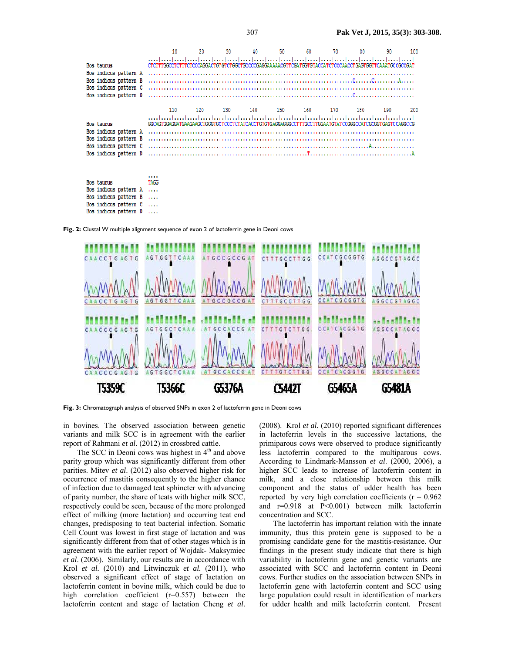|                                                                                                                | 10                                                                                                   |     | 30  | 40         | 50  | 60. | 70  |     | 90  | 100   |
|----------------------------------------------------------------------------------------------------------------|------------------------------------------------------------------------------------------------------|-----|-----|------------|-----|-----|-----|-----|-----|-------|
| Bos taurus<br>Bos indicus pattern A<br>Bos indicus pattern B<br>Bos indicus pattern C                          | CTCTTTGGCCTCTTTCTCCCAGGACTGTGTCTGCCTGCCCCGAGGAAAAACGTTCGATGGTGTACCATCTCCCAACCTGAGTGGTTCAAATGCCGCCGAT |     |     |            |     |     |     |     |     |       |
|                                                                                                                |                                                                                                      |     |     |            |     |     |     |     |     |       |
|                                                                                                                | 110                                                                                                  | 120 | 130 | 140<br>150 | 160 |     | 170 | 180 | 190 | - 200 |
| Bos taurus<br>Bos indicus pattern A<br>Bos indicus pattern B<br>Bos indicus pattern C<br>Bos indicus pattern D | GGCAGTGGAGGATGAAGAAGCTGGGTGCTCCCTCTATCACCTGTGTGAGGAGGGCCTTTGCCTTGGAATGTATCCGGGCCATCGCGGTGAGTCCAGGCCG |     |     |            |     |     |     |     |     |       |

Bos taurus TAGG Bos indicus pattern A  $\sim$  0.000 Bos indicus pattern B  $\sim$ Bos indicus pattern C  $\sim$  . . . . Bos indicus pattern D  $\sim$  . . . .

**Fig. 2:** Clustal W multiple alignment sequence of exon 2 of lactoferrin gene in Deoni cows



Fig. 3: Chromatograph analysis of observed SNPs in exon 2 of lactoferrin gene in Deoni cows

in bovines. The observed association between genetic variants and milk SCC is in agreement with the earlier report of Rahmani et al. (2012) in crossbred cattle.

The SCC in Deoni cows was highest in  $4<sup>th</sup>$  and above parity group which was significantly different from other parities. Mitev *et al*. (2012) also observed higher risk for occurrence of mastitis consequently to the higher chance of infection due to damaged teat sphincter with advancing of parity number, the share of teats with higher milk SCC, respectively could be seen, because of the more prolonged effect of milking (more lactation) and occurring teat end changes, predisposing to teat bacterial infection. Somatic Cell Count was lowest in first stage of lactation and was significantly different from that of other stages which is in agreement with the earlier report of Wojdak- Maksymiec *et al*. (2006). Similarly, our results are in accordance with Krol *et al.* (2010) and Litwinczuk *et al.* (2011), who observed a significant effect of stage of lactation on lactoferrin content in bovine milk, which could be due to high correlation coefficient (r=0.557) between the lactoferrin content and stage of lactation Cheng *et al*.

(2008). Krol *et al.* (2010) reported significant differences in lactoferrin levels in the successive lactations, the primiparous cows were observed to produce significantly less lactoferrin compared to the multiparous cows. According to Lindmark-Mansson *et al*. (2000, 2006), a higher SCC leads to increase of lactoferrin content in milk, and a close relationship between this milk component and the status of udder health has been reported by very high correlation coefficients ( $r = 0.962$ ) and  $r=0.918$  at  $P<0.001$ ) between milk lactoferrin concentration and SCC.

The lactoferrin has important relation with the innate immunity, thus this protein gene is supposed to be a promising candidate gene for the mastitis-resistance. Our findings in the present study indicate that there is high variability in lactoferrin gene and genetic variants are associated with SCC and lactoferrin content in Deoni cows. Further studies on the association between SNPs in lactoferrin gene with lactoferrin content and SCC using large population could result in identification of markers for udder health and milk lactoferrin content. Present